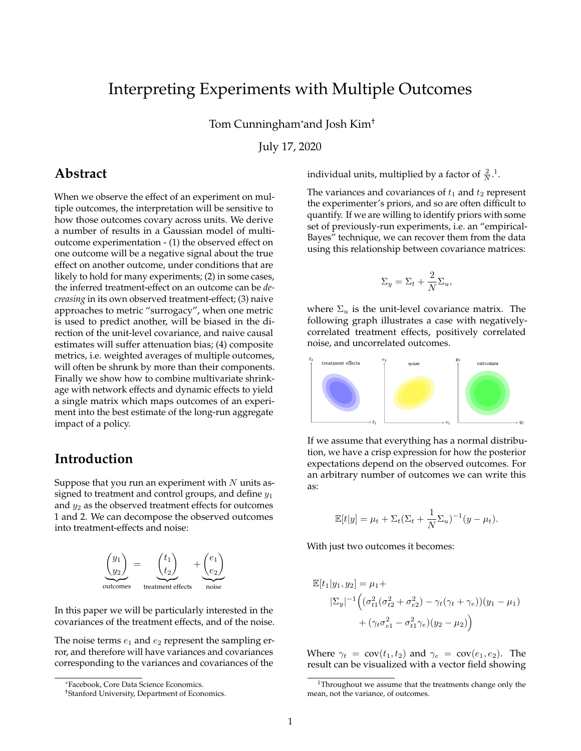# Interpreting Experiments with Multiple Outcomes

Tom Cunningham\*and Josh Kim†

July 17, 2020

## **Abstract**

When we observe the effect of an experiment on multiple outcomes, the interpretation will be sensitive to how those outcomes covary across units. We derive a number of results in a Gaussian model of multioutcome experimentation - (1) the observed effect on one outcome will be a negative signal about the true effect on another outcome, under conditions that are likely to hold for many experiments; (2) in some cases, the inferred treatment-effect on an outcome can be *decreasing* in its own observed treatment-effect; (3) naive approaches to metric "surrogacy", when one metric is used to predict another, will be biased in the direction of the unit-level covariance, and naive causal estimates will suffer attenuation bias; (4) composite metrics, i.e. weighted averages of multiple outcomes, will often be shrunk by more than their components. Finally we show how to combine multivariate shrinkage with network effects and dynamic effects to yield a single matrix which maps outcomes of an experiment into the best estimate of the long-run aggregate impact of a policy.

## **Introduction**

Suppose that you run an experiment with *N* units assigned to treatment and control groups, and define *y*<sup>1</sup> and *y*<sup>2</sup> as the observed treatment effects for outcomes 1 and 2. We can decompose the observed outcomes into treatment-effects and noise:



In this paper we will be particularly interested in the covariances of the treatment effects, and of the noise.

The noise terms  $e_1$  and  $e_2$  represent the sampling error, and therefore will have variances and covariances corresponding to the variances and covariances of the

individual units, multiplied by a factor of  $\frac{2}{N}$ .<sup>[1](#page-0-0)</sup>.

The variances and covariances of  $t_1$  and  $t_2$  represent the experimenter's priors, and so are often difficult to quantify. If we are willing to identify priors with some set of previously-run experiments, i.e. an "empirical-Bayes" technique, we can recover them from the data using this relationship between covariance matrices:

$$
\Sigma_y = \Sigma_t + \frac{2}{N} \Sigma_u,
$$

where  $\Sigma_u$  is the unit-level covariance matrix. The following graph illustrates a case with negativelycorrelated treatment effects, positively correlated noise, and uncorrelated outcomes.



If we assume that everything has a normal distribution, we have a crisp expression for how the posterior expectations depend on the observed outcomes. For an arbitrary number of outcomes we can write this as:

$$
\mathbb{E}[t|y] = \mu_t + \Sigma_t (\Sigma_t + \frac{1}{N} \Sigma_u)^{-1} (y - \mu_t).
$$

With just two outcomes it becomes:

$$
\mathbb{E}[t_1|y_1, y_2] = \mu_1 +
$$
  
\n
$$
|\Sigma_y|^{-1} \Big( (\sigma_{t1}^2 (\sigma_{t2}^2 + \sigma_{e2}^2) - \gamma_t (\gamma_t + \gamma_e)) (y_1 - \mu_1)
$$
  
\n
$$
+ (\gamma_t \sigma_{e1}^2 - \sigma_{t1}^2 \gamma_e) (y_2 - \mu_2) \Big)
$$

Where  $\gamma_t = \text{cov}(t_1, t_2)$  and  $\gamma_e = \text{cov}(e_1, e_2)$ . The result can be visualized with a vector field showing

<sup>\*</sup>Facebook, Core Data Science Economics.

<sup>†</sup>Stanford University, Department of Economics.

<span id="page-0-0"></span><sup>&</sup>lt;sup>1</sup>Throughout we assume that the treatments change only the mean, not the variance, of outcomes.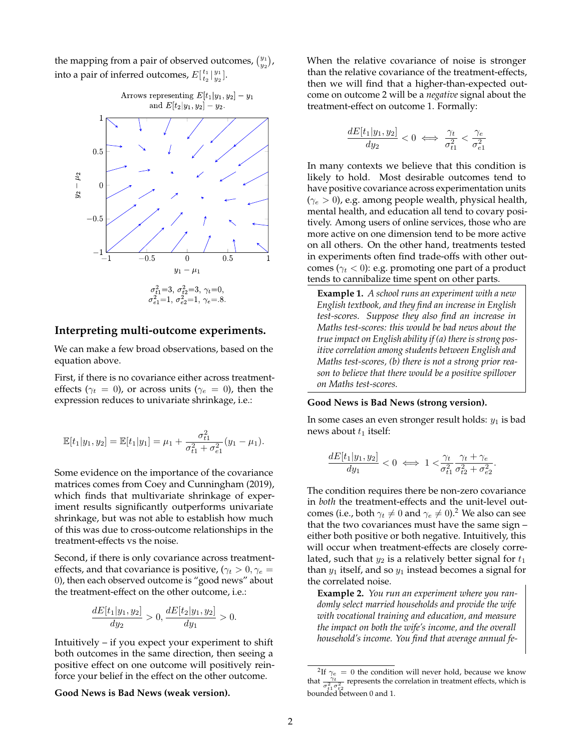the mapping from a pair of observed outcomes,  $\binom{y_1}{y_2}$ , into a pair of inferred outcomes,  $E[\frac{t_1}{t_2}|\frac{y_1}{y_2}]$ .



### **Interpreting multi-outcome experiments.**

We can make a few broad observations, based on the equation above.

First, if there is no covariance either across treatmenteffects ( $\gamma_t = 0$ ), or across units ( $\gamma_e = 0$ ), then the expression reduces to univariate shrinkage, i.e.:

$$
\mathbb{E}[t_1|y_1,y_2] = \mathbb{E}[t_1|y_1] = \mu_1 + \frac{\sigma_{t1}^2}{\sigma_{t1}^2 + \sigma_{e1}^2}(y_1 - \mu_1).
$$

Some evidence on the importance of the covariance matrices comes from Coey and Cunningham (2019), which finds that multivariate shrinkage of experiment results significantly outperforms univariate shrinkage, but was not able to establish how much of this was due to cross-outcome relationships in the treatment-effects vs the noise.

Second, if there is only covariance across treatmenteffects, and that covariance is positive, ( $\gamma_t > 0$ ,  $\gamma_e =$ 0), then each observed outcome is "good news" about the treatment-effect on the other outcome, i.e.:

$$
\frac{dE[t_1|y_1, y_2]}{dy_2} > 0, \frac{dE[t_2|y_1, y_2]}{dy_1} > 0.
$$

Intuitively – if you expect your experiment to shift both outcomes in the same direction, then seeing a positive effect on one outcome will positively reinforce your belief in the effect on the other outcome.

**Good News is Bad News (weak version).**

When the relative covariance of noise is stronger than the relative covariance of the treatment-effects, then we will find that a higher-than-expected outcome on outcome 2 will be a *negative* signal about the treatment-effect on outcome 1. Formally:

$$
\frac{dE[t_1|y_1, y_2]}{dy_2} < 0 \iff \frac{\gamma_t}{\sigma_{t1}^2} < \frac{\gamma_e}{\sigma_{e1}^2}
$$

In many contexts we believe that this condition is likely to hold. Most desirable outcomes tend to have positive covariance across experimentation units (*γ<sup>e</sup> >* 0), e.g. among people wealth, physical health, mental health, and education all tend to covary positively. Among users of online services, those who are more active on one dimension tend to be more active on all others. On the other hand, treatments tested in experiments often find trade-offs with other outcomes ( $\gamma_t$  < 0): e.g. promoting one part of a product tends to cannibalize time spent on other parts.

**Example 1.** *A school runs an experiment with a new English textbook, and they find an increase in English test-scores. Suppose they also find an increase in Maths test-scores: this would be bad news about the true impact on English ability if (a) there is strong positive correlation among students between English and Maths test-scores, (b) there is not a strong prior reason to believe that there would be a positive spillover on Maths test-scores.*

#### **Good News is Bad News (strong version).**

In some cases an even stronger result holds: *y*<sup>1</sup> is bad news about  $t_1$  itself:

$$
\frac{dE[t_1|y_1, y_2]}{dy_1} < 0 \iff 1 < \frac{\gamma_t}{\sigma_{t1}^2} \frac{\gamma_t + \gamma_e}{\sigma_{t2}^2 + \sigma_{e2}^2}
$$

*.*

The condition requires there be non-zero covariance in *both* the treatment-effects and the unit-level outcomes (i.e., both  $\gamma_t \neq 0$  and  $\gamma_e \neq 0$ ).<sup>[2](#page-1-0)</sup> We also can see that the two covariances must have the same sign – either both positive or both negative. Intuitively, this will occur when treatment-effects are closely correlated, such that  $y_2$  is a relatively better signal for  $t_1$ than *y*<sup>1</sup> itself, and so *y*<sup>1</sup> instead becomes a signal for the correlated noise.

**Example 2.** *You run an experiment where you randomly select married households and provide the wife with vocational training and education, and measure the impact on both the wife's income, and the overall household's income. You find that average annual fe-*

<span id="page-1-0"></span><sup>&</sup>lt;sup>2</sup>If  $\gamma_e = 0$  the condition will never hold, because we know that  $\frac{\gamma_t}{\sigma_{t1}^2 \sigma_{t2}^2}$  represents the correlation in treatment effects, which is bounded between 0 and 1.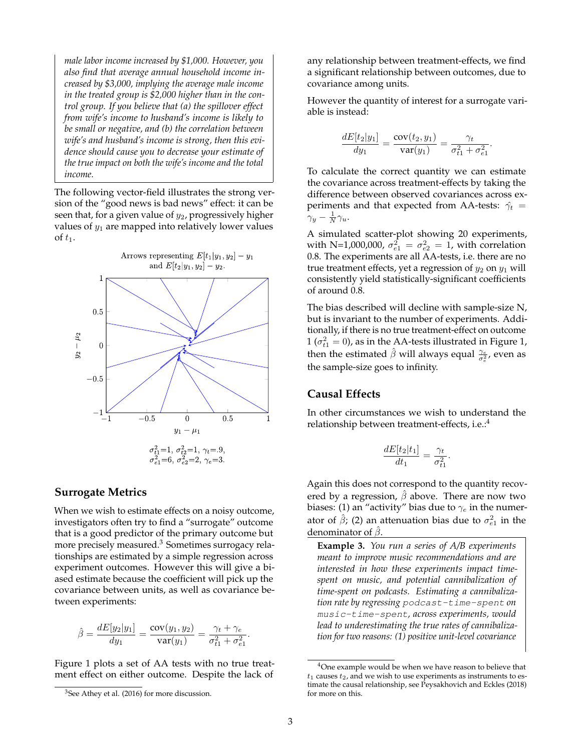*male labor income increased by \$1,000. However, you also find that average annual household income increased by \$3,000, implying the average male income in the treated group is \$2,000 higher than in the control group. If you believe that (a) the spillover effect from wife's income to husband's income is likely to be small or negative, and (b) the correlation between wife's and husband's income is strong, then this evidence should cause you to decrease your estimate of the true impact on both the wife's income and the total income.*

The following vector-field illustrates the strong version of the "good news is bad news" effect: it can be seen that, for a given value of *y*2, progressively higher values of *y*<sup>1</sup> are mapped into relatively lower values of  $t_1$ .



### **Surrogate Metrics**

When we wish to estimate effects on a noisy outcome, investigators often try to find a "surrogate" outcome that is a good predictor of the primary outcome but more precisely measured.<sup>[3](#page-2-0)</sup> Sometimes surrogacy relationships are estimated by a simple regression across experiment outcomes. However this will give a biased estimate because the coefficient will pick up the covariance between units, as well as covariance between experiments:

$$
\hat{\beta} = \frac{dE[y_2|y_1]}{dy_1} = \frac{\text{cov}(y_1, y_2)}{\text{var}(y_1)} = \frac{\gamma_t + \gamma_e}{\sigma_{t1}^2 + \sigma_{e1}^2}.
$$

Figure 1 plots a set of AA tests with no true treatment effect on either outcome. Despite the lack of any relationship between treatment-effects, we find a significant relationship between outcomes, due to covariance among units.

However the quantity of interest for a surrogate variable is instead:

$$
\frac{dE[t_2|y_1]}{dy_1} = \frac{\text{cov}(t_2, y_1)}{\text{var}(y_1)} = \frac{\gamma_t}{\sigma_{t1}^2 + \sigma_{e1}^2}.
$$

To calculate the correct quantity we can estimate the covariance across treatment-effects by taking the difference between observed covariances across experiments and that expected from AA-tests:  $\hat{\gamma}_t$  =  $\gamma_y - \frac{1}{N} \gamma_u$ .

A simulated scatter-plot showing 20 experiments, with N=1,000,000,  $\sigma_{e1}^2 = \sigma_{e2}^2 = 1$ , with correlation 0.8. The experiments are all AA-tests, i.e. there are no true treatment effects, yet a regression of  $y_2$  on  $y_1$  will consistently yield statistically-significant coefficients of around 0.8.

The bias described will decline with sample-size N, but is invariant to the number of experiments. Additionally, if there is no true treatment-effect on outcome  $1$  ( $\sigma_{t1}^2 = 0$ ), as in the AA-tests illustrated in Figure 1, then the estimated  $\hat{\beta}$  will always equal  $\frac{\gamma_e}{\sigma_e^2}$ , even as the sample-size goes to infinity.

### **Causal Effects**

In other circumstances we wish to understand the relationship between treatment-effects, i.e.:[4](#page-2-1)

$$
\frac{dE[t_2|t_1]}{dt_1} = \frac{\gamma_t}{\sigma_{t1}^2}.
$$

Again this does not correspond to the quantity recovered by a regression, *β*ˆ above. There are now two biases: (1) an "activity" bias due to *γ<sup>e</sup>* in the numerator of  $\hat{\beta}$ ; (2) an attenuation bias due to  $\sigma_{e1}^2$  in the denominator of *β*ˆ.

**Example 3.** *You run a series of A/B experiments meant to improve music recommendations and are interested in how these experiments impact timespent on music, and potential cannibalization of time-spent on podcasts. Estimating a cannibalization rate by regressing* podcast-time-spent *on* music-time-spent*, across experiments, would lead to underestimating the true rates of cannibalization for two reasons: (1) positive unit-level covariance*

<span id="page-2-0"></span><sup>3</sup>See Athey et al. (2016) for more discussion.

<span id="page-2-1"></span><sup>&</sup>lt;sup>4</sup>One example would be when we have reason to believe that  $t_1$  causes  $t_2$ , and we wish to use experiments as instruments to estimate the causal relationship, see Peysakhovich and Eckles (2018) for more on this.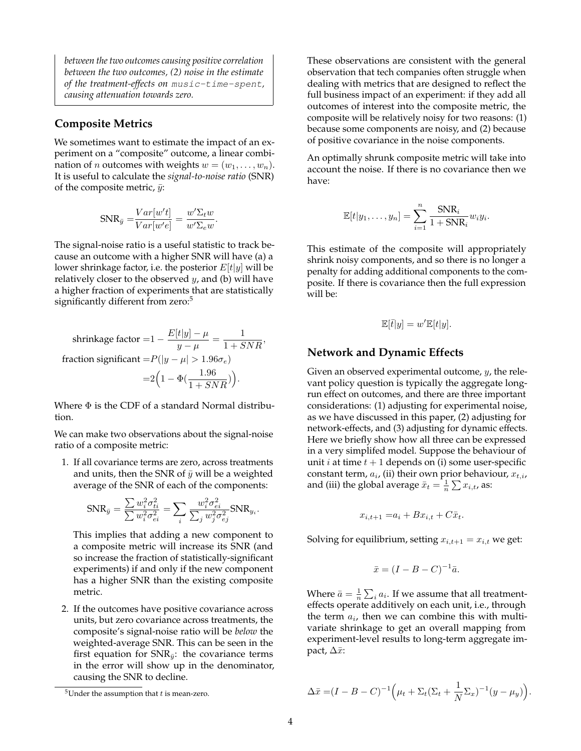*between the two outcomes causing positive correlation between the two outcomes, (2) noise in the estimate of the treatment-effects on* music-time-spent*, causing attenuation towards zero.*

### **Composite Metrics**

We sometimes want to estimate the impact of an experiment on a "composite" outcome, a linear combination of *n* outcomes with weights  $w = (w_1, \ldots, w_n)$ . It is useful to calculate the *signal-to-noise ratio* (SNR) of the composite metric,  $\bar{y}$ :

$$
\text{SNR}_{\bar{y}} = \frac{Var[w't]}{Var[w'e]} = \frac{w'\Sigma_t w}{w'\Sigma_e w}.
$$

The signal-noise ratio is a useful statistic to track because an outcome with a higher SNR will have (a) a lower shrinkage factor, i.e. the posterior *E*[*t*|*y*] will be relatively closer to the observed *y*, and (b) will have a higher fraction of experiments that are statistically significantly different from zero:<sup>[5](#page-3-0)</sup>

shrinkage factor =1 - 
$$
\frac{E[t|y] - \mu}{y - \mu} = \frac{1}{1 + SNR},
$$
 fraction significant = 
$$
P(|y - \mu| > 1.96\sigma_e)
$$

$$
= 2\left(1 - \Phi(\frac{1.96}{1 + SNR})\right).
$$

Where  $\Phi$  is the CDF of a standard Normal distribution.

We can make two observations about the signal-noise ratio of a composite metric:

1. If all covariance terms are zero, across treatments and units, then the SNR of  $\bar{y}$  will be a weighted average of the SNR of each of the components:

$$
\text{SNR}_{\bar{y}} = \frac{\sum w_i^2 \sigma_{ti}^2}{\sum w_i^2 \sigma_{ei}^2} = \sum_i \frac{w_i^2 \sigma_{ei}^2}{\sum_j w_j^2 \sigma_{ej}^2} \text{SNR}_{y_i}.
$$

This implies that adding a new component to a composite metric will increase its SNR (and so increase the fraction of statistically-significant experiments) if and only if the new component has a higher SNR than the existing composite metric.

2. If the outcomes have positive covariance across units, but zero covariance across treatments, the composite's signal-noise ratio will be *below* the weighted-average SNR. This can be seen in the first equation for  $SNR_{\bar{y}}$ : the covariance terms in the error will show up in the denominator, causing the SNR to decline.

These observations are consistent with the general observation that tech companies often struggle when dealing with metrics that are designed to reflect the full business impact of an experiment: if they add all outcomes of interest into the composite metric, the composite will be relatively noisy for two reasons: (1) because some components are noisy, and (2) because of positive covariance in the noise components.

An optimally shrunk composite metric will take into account the noise. If there is no covariance then we have:

$$
\mathbb{E}[t|y_1,\ldots,y_n] = \sum_{i=1}^n \frac{\text{SNR}_i}{1 + \text{SNR}_i} w_i y_i.
$$

This estimate of the composite will appropriately shrink noisy components, and so there is no longer a penalty for adding additional components to the composite. If there is covariance then the full expression will be:

$$
\mathbb{E}[\bar{t}|y] = w' \mathbb{E}[t|y].
$$

### **Network and Dynamic Effects**

Given an observed experimental outcome, *y*, the relevant policy question is typically the aggregate longrun effect on outcomes, and there are three important considerations: (1) adjusting for experimental noise, as we have discussed in this paper, (2) adjusting for network-effects, and (3) adjusting for dynamic effects. Here we briefly show how all three can be expressed in a very simplifed model. Suppose the behaviour of unit *i* at time  $t + 1$  depends on (i) some user-specific constant term, *a<sup>i</sup>* , (ii) their own prior behaviour, *xt,i*, and (iii) the global average  $\bar{x}_t = \frac{1}{n} \sum x_{i,t}$ , as:

$$
x_{i,t+1} = a_i + Bx_{i,t} + C\bar{x}_t.
$$

Solving for equilibrium, setting  $x_{i,t+1} = x_{i,t}$  we get:

$$
\bar{x} = (I - B - C)^{-1}\bar{a}.
$$

Where  $\bar{a} = \frac{1}{n} \sum_{i} a_i$ . If we assume that all treatmenteffects operate additively on each unit, i.e., through the term *a<sup>i</sup>* , then we can combine this with multivariate shrinkage to get an overall mapping from experiment-level results to long-term aggregate impact,  $\Delta \bar{x}$ :

$$
\Delta \bar{x} = (I - B - C)^{-1} \Big( \mu_t + \Sigma_t (\Sigma_t + \frac{1}{N} \Sigma_x)^{-1} (y - \mu_y) \Big).
$$

<span id="page-3-0"></span><sup>5</sup>Under the assumption that *t* is mean-zero.